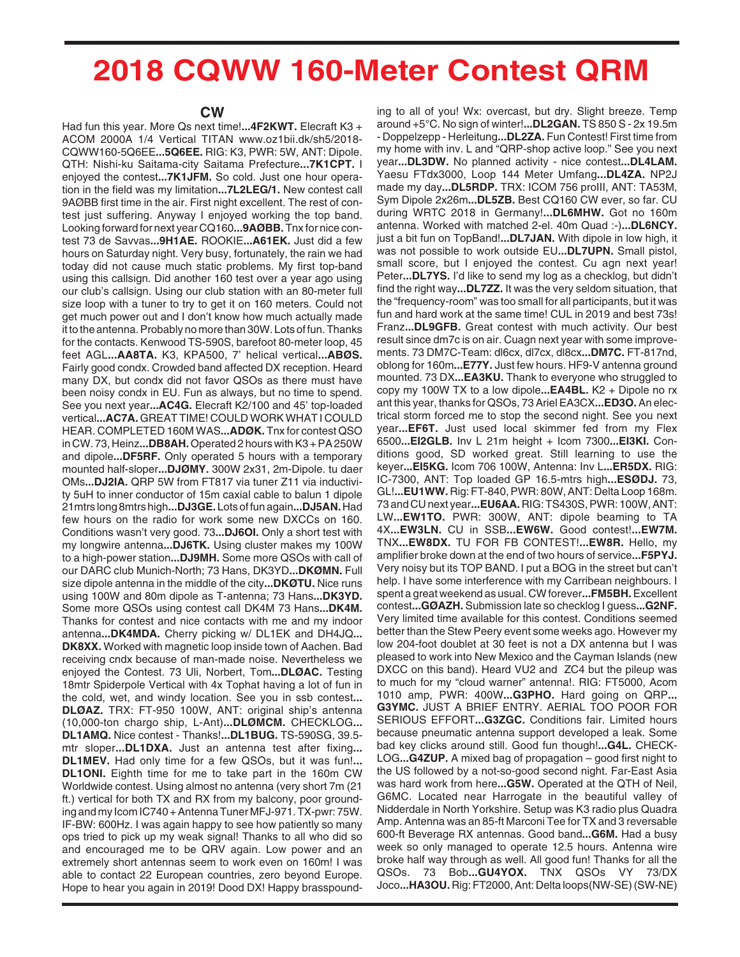## **2018 CQWW 160-Meter Contest QRM**

## **CW**

Had fun this year. More Qs next time!**...4F2KWT.** Elecraft K3 + ACOM 2000A 1/4 Vertical TITAN www.oz1bii.dk/sh5/2018- CQWW160-5Q6EE**...5Q6EE.** RIG: K3, PWR: 5W, ANT: Dipole. QTH: Nishi-ku Saitama-city Saitama Prefecture**...7K1CPT.** I enjoyed the contest**...7K1JFM.** So cold. Just one hour operation in the field was my limitation**...7L2LEG/1.** New contest call 9AØBB first time in the air. First night excellent. The rest of contest just suffering. Anyway I enjoyed working the top band. Looking forward for next year CQ160**...9AØBB.** Tnx for nice contest 73 de Savvas**...9H1AE.** ROOKIE**...A61EK.** Just did a few hours on Saturday night. Very busy, fortunately, the rain we had today did not cause much static problems. My first top-band using this callsign. Did another 160 test over a year ago using our club's callsign. Using our club station with an 80-meter full size loop with a tuner to try to get it on 160 meters. Could not get much power out and I don't know how much actually made it to the antenna. Probably no more than 30W. Lots of fun. Thanks for the contacts. Kenwood TS-590S, barefoot 80-meter loop, 45 feet AGL**...AA8TA.** K3, KPA500, 7' helical vertical**...ABØS.** Fairly good condx. Crowded band affected DX reception. Heard many DX, but condx did not favor QSOs as there must have been noisy condx in EU. Fun as always, but no time to spend. See you next year**...AC4G.** Elecraft K2/100 and 45' top-loaded vertical**...AC7A.** GREAT TIME! COULD WORK WHAT I COULD HEAR. COMPLETED 160M WAS**...ADØK.** Tnx for contest QSO in CW. 73, Heinz**...DB8AH.**Operated 2 hours with K3 + PA 250W and dipole**...DF5RF.** Only operated 5 hours with a temporary mounted half-sloper**...DJØMY.** 300W 2x31, 2m-Dipole. tu daer OMs**...DJ2IA.** QRP 5W from FT817 via tuner Z11 via inductivity 5uH to inner conductor of 15m caxial cable to balun 1 dipole 21mtrs long 8mtrs high**...DJ3GE.**Lots of fun again**...DJ5AN.**Had few hours on the radio for work some new DXCCs on 160. Conditions wasn't very good. 73**...DJ6OI.** Only a short test with my longwire antenna**...DJ6TK.** Using cluster makes my 100W to a high-power station**...DJ9MH.** Some more QSOs with call of our DARC club Munich-North; 73 Hans, DK3YD**...DKØMN.** Full size dipole antenna in the middle of the city**...DKØTU.** Nice runs using 100W and 80m dipole as T-antenna; 73 Hans**...DK3YD.** Some more QSOs using contest call DK4M 73 Hans**...DK4M.** Thanks for contest and nice contacts with me and my indoor antenna**...DK4MDA.** Cherry picking w/ DL1EK and DH4JQ**... DK8XX.** Worked with magnetic loop inside town of Aachen. Bad receiving cndx because of man-made noise. Nevertheless we enjoyed the Contest. 73 Uli, Norbert, Tom**...DLØAC.** Testing 18mtr Spiderpole Vertical with 4x Tophat having a lot of fun in the cold, wet, and windy location. See you in ssb contest**... DLØAZ.** TRX: FT-950 100W, ANT: original ship's antenna (10,000-ton chargo ship, L-Ant)**...DLØMCM.** CHECKLOG**... DL1AMQ.** Nice contest - Thanks!**...DL1BUG.** TS-590SG, 39.5 mtr sloper**...DL1DXA.** Just an antenna test after fixing**... DL1MEV.** Had only time for a few QSOs, but it was fun!**... DL1ONI.** Eighth time for me to take part in the 160m CW Worldwide contest. Using almost no antenna (very short 7m (21 ft.) vertical for both TX and RX from my balcony, poor grounding and my Icom IC740 + Antenna Tuner MFJ-971. TX-pwr: 75W. IF-BW: 600Hz. I was again happy to see how patiently so many ops tried to pick up my weak signal! Thanks to all who did so and encouraged me to be QRV again. Low power and an extremely short antennas seem to work even on 160m! I was able to contact 22 European countries, zero beyond Europe. Hope to hear you again in 2019! Dood DX! Happy brasspound-

ing to all of you! Wx: overcast, but dry. Slight breeze. Temp around +5°C. No sign of winter!**...DL2GAN.** TS 850 S - 2x 19.5m - Doppelzepp - Herleitung**...DL2ZA.** Fun Contest! First time from my home with inv. L and "QRP-shop active loop." See you next year**...DL3DW.** No planned activity - nice contest**...DL4LAM.** Yaesu FTdx3000, Loop 144 Meter Umfang**...DL4ZA.** NP2J made my day**...DL5RDP.** TRX: ICOM 756 proIII, ANT: TA53M, Sym Dipole 2x26m**...DL5ZB.** Best CQ160 CW ever, so far. CU during WRTC 2018 in Germany!**...DL6MHW.** Got no 160m antenna. Worked with matched 2-el. 40m Quad :-)**...DL6NCY.** just a bit fun on TopBand!**...DL7JAN.** With dipole in low high, it was not possible to work outside EU**...DL7UPN.** Small pistol, small score, but I enjoyed the contest. Cu agn next year! Peter**...DL7YS.** I'd like to send my log as a checklog, but didn't find the right way**...DL7ZZ.** It was the very seldom situation, that the "frequency-room" was too small for all participants, but it was fun and hard work at the same time! CUL in 2019 and best 73s! Franz**...DL9GFB.** Great contest with much activity. Our best result since dm7c is on air. Cuagn next year with some improvements. 73 DM7C-Team: dl6cx, dl7cx, dl8cx**...DM7C.** FT-817nd, oblong for 160m**...E77Y.** Just few hours. HF9-V antenna ground mounted. 73 DX**...EA3KU.** Thank to everyone who struggled to copy my 100W TX to a low dipole**...EA4BL.** K2 + Dipole no rx ant this year, thanks for QSOs, 73 Ariel EA3CX**...ED3O.** An electrical storm forced me to stop the second night. See you next year**...EF6T.** Just used local skimmer fed from my Flex 6500**...EI2GLB.** Inv L 21m height + Icom 7300**...EI3KI.** Conditions good, SD worked great. Still learning to use the keyer**...EI5KG.** Icom 706 100W, Antenna: Inv L**...ER5DX.** RIG: IC-7300, ANT: Top loaded GP 16.5-mtrs high**...ESØDJ.** 73, GL!**...EU1WW.** Rig: FT-840, PWR: 80W, ANT: Delta Loop 168m. 73 and CU next year**...EU6AA.** RIG: TS430S, PWR: 100W, ANT: LW**...EW1TO.** PWR: 300W, ANT: dipole beaming to TA 4X**...EW3LN.** CU in SSB**...EW6W.** Good contest!**...EW7M.** TNX**...EW8DX.** TU FOR FB CONTEST!**...EW8R.** Hello, my amplifier broke down at the end of two hours of service**...F5PYJ.** Very noisy but its TOP BAND. I put a BOG in the street but can't help. I have some interference with my Carribean neighbours. I spent a great weekend as usual. CW forever**...FM5BH.**Excellent contest**...GØAZH.** Submission late so checklog I guess**...G2NF.** Very limited time available for this contest. Conditions seemed better than the Stew Peery event some weeks ago. However my low 204-foot doublet at 30 feet is not a DX antenna but I was pleased to work into New Mexico and the Cayman Islands (new DXCC on this band). Heard VU2 and ZC4 but the pileup was to much for my "cloud warner" antenna!. RIG: FT5000, Acom 1010 amp, PWR: 400W**...G3PHO.** Hard going on QRP**... G3YMC.** JUST A BRIEF ENTRY. AERIAL TOO POOR FOR SERIOUS EFFORT**...G3ZGC.** Conditions fair. Limited hours because pneumatic antenna support developed a leak. Some bad key clicks around still. Good fun though!**...G4L.** CHECK-LOG**...G4ZUP.** A mixed bag of propagation – good first night to the US followed by a not-so-good second night. Far-East Asia was hard work from here**...G5W.** Operated at the QTH of Neil, G6MC. Located near Harrogate in the beautiful valley of Nidderdale in North Yorkshire. Setup was K3 radio plus Quadra Amp. Antenna was an 85-ft Marconi Tee for TX and 3 reversable 600-ft Beverage RX antennas. Good band**...G6M.** Had a busy week so only managed to operate 12.5 hours. Antenna wire broke half way through as well. All good fun! Thanks for all the QSOs. 73 Bob**...GU4YOX.** TNX QSOs VY 73/DX Joco**...HA3OU.** Rig: FT2000, Ant: Delta loops(NW-SE) (SW-NE)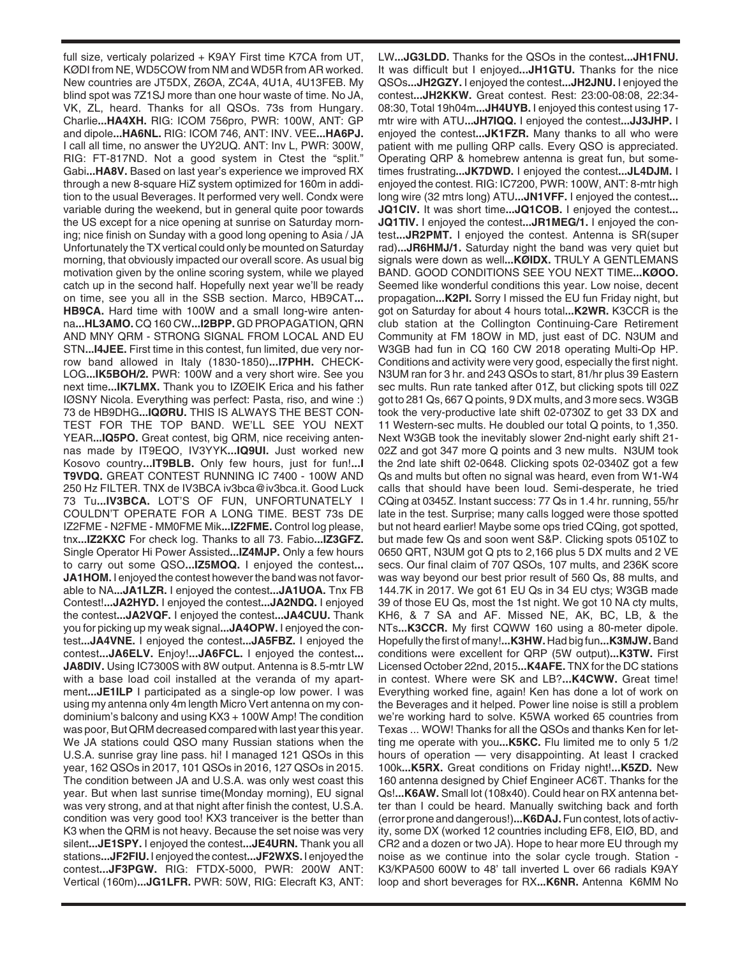full size, verticaly polarized + K9AY First time K7CA from UT, KØDI from NE, WD5COW from NM and WD5R from AR worked. New countries are JT5DX, Z6ØA, ZC4A, 4U1A, 4U13FEB. My blind spot was 7Z1SJ more than one hour waste of time. No JA, VK, ZL, heard. Thanks for all QSOs. 73s from Hungary. Charlie**...HA4XH.** RIG: ICOM 756pro, PWR: 100W, ANT: GP and dipole**...HA6NL.** RIG: ICOM 746, ANT: INV. VEE**...HA6PJ.** I call all time, no answer the UY2UQ. ANT: Inv L, PWR: 300W, RIG: FT-817ND. Not a good system in Ctest the "split." Gabi**...HA8V.** Based on last year's experience we improved RX through a new 8-square HiZ system optimized for 160m in addition to the usual Beverages. It performed very well. Condx were variable during the weekend, but in general quite poor towards the US except for a nice opening at sunrise on Saturday morning; nice finish on Sunday with a good long opening to Asia / JA Unfortunately the TX vertical could only be mounted on Saturday morning, that obviously impacted our overall score. As usual big motivation given by the online scoring system, while we played catch up in the second half. Hopefully next year we'll be ready on time, see you all in the SSB section. Marco, HB9CAT**... HB9CA.** Hard time with 100W and a small long-wire antenna**...HL3AMO.** CQ 160 CW**...I2BPP.** GD PROPAGATION, QRN AND MNY QRM - STRONG SIGNAL FROM LOCAL AND EU STN**...I4JEE.** First time in this contest, fun limited, due very norrow band allowed in Italy (1830-1850)**...I7PHH.** CHECK-LOG**...IK5BOH/2.** PWR: 100W and a very short wire. See you next time**...IK7LMX.** Thank you to IZØEIK Erica and his father IØSNY Nicola. Everything was perfect: Pasta, riso, and wine :) 73 de HB9DHG**...IQØRU.** THIS IS ALWAYS THE BEST CON-TEST FOR THE TOP BAND. WE'LL SEE YOU NEXT YEAR**...IQ5PO.** Great contest, big QRM, nice receiving antennas made by IT9EQO, IV3YYK**...IQ9UI.** Just worked new Kosovo country**...IT9BLB.** Only few hours, just for fun!**...I T9VDQ.** GREAT CONTEST RUNNING IC 7400 - 100W AND 250 Hz FILTER. TNX de IV3BCA iv3bca@iv3bca.it. Good Luck 73 Tu**...IV3BCA.** LOT'S OF FUN, UNFORTUNATELY I COULDN'T OPERATE FOR A LONG TIME. BEST 73s DE IZ2FME - N2FME - MM0FME Mik**...IZ2FME.** Control log please, tnx**...IZ2KXC** For check log. Thanks to all 73. Fabio**...IZ3GFZ.** Single Operator Hi Power Assisted**...IZ4MJP.** Only a few hours to carry out some QSO**...IZ5MOQ.** I enjoyed the contest**... JA1HOM.** I enjoyed the contest however the band was not favorable to NA**...JA1LZR.** I enjoyed the contest**...JA1UOA.** Tnx FB Contest!**...JA2HYD.** I enjoyed the contest**...JA2NDQ.** I enjoyed the contest**...JA2VQF.** I enjoyed the contest**...JA4CUU.** Thank you for picking up my weak signal**...JA4OPW.** I enjoyed the contest**...JA4VNE.** I enjoyed the contest**...JA5FBZ.** I enjoyed the contest**...JA6ELV.** Enjoy!**...JA6FCL.** I enjoyed the contest**... JA8DIV.** Using IC7300S with 8W output. Antenna is 8.5-mtr LW with a base load coil installed at the veranda of my apartment**...JE1ILP** I participated as a single-op low power. I was using my antenna only 4m length Micro Vert antenna on my condominium's balcony and using KX3 + 100W Amp! The condition was poor, But QRM decreased compared with last year this year. We JA stations could QSO many Russian stations when the U.S.A. sunrise gray line pass. hi! I managed 121 QSOs in this year, 162 QSOs in 2017, 101 QSOs in 2016, 127 QSOs in 2015. The condition between JA and U.S.A. was only west coast this year. But when last sunrise time(Monday morning), EU signal was very strong, and at that night after finish the contest, U.S.A. condition was very good too! KX3 tranceiver is the better than K3 when the QRM is not heavy. Because the set noise was very silent**...JE1SPY.** I enjoyed the contest**...JE4URN.** Thank you all stations**...JF2FIU.** I enjoyed the contest**...JF2WXS.** I enjoyed the contest**...JF3PGW.** RIG: FTDX-5000, PWR: 200W ANT: Vertical (160m)**...JG1LFR.** PWR: 50W, RIG: Elecraft K3, ANT: LW**...JG3LDD.** Thanks for the QSOs in the contest**...JH1FNU.** It was difficult but I enjoyed**...JH1GTU.** Thanks for the nice QSOs**...JH2GZY.** I enjoyed the contest**...JH2JNU.** I enjoyed the contest**...JH2KKW.** Great contest. Rest: 23:00-08:08, 22:34- 08:30, Total 19h04m**...JH4UYB.** I enjoyed this contest using 17 mtr wire with ATU**...JH7IQQ.** I enjoyed the contest**...JJ3JHP.** I enjoyed the contest**...JK1FZR.** Many thanks to all who were patient with me pulling QRP calls. Every QSO is appreciated. Operating QRP & homebrew antenna is great fun, but sometimes frustrating**...JK7DWD.** I enjoyed the contest**...JL4DJM.** I enjoyed the contest. RIG: IC7200, PWR: 100W, ANT: 8-mtr high long wire (32 mtrs long) ATU**...JN1VFF.** I enjoyed the contest**... JQ1CIV.** It was short time**...JQ1COB.** I enjoyed the contest**... JQ1TIV.** I enjoyed the contest**...JR1MEG/1.** I enjoyed the contest**...JR2PMT.** I enjoyed the contest. Antenna is SR(super rad)**...JR6HMJ/1.** Saturday night the band was very quiet but signals were down as well**...KØIDX.** TRULY A GENTLEMANS BAND. GOOD CONDITIONS SEE YOU NEXT TIME**...KØOO.** Seemed like wonderful conditions this year. Low noise, decent propagation**...K2PI.** Sorry I missed the EU fun Friday night, but got on Saturday for about 4 hours total**...K2WR.** K3CCR is the club station at the Collington Continuing-Care Retirement Community at FM 18OW in MD, just east of DC. N3UM and W3GB had fun in CQ 160 CW 2018 operating Multi-Op HP. Conditions and activity were very good, especially the first night. N3UM ran for 3 hr. and 243 QSOs to start, 81/hr plus 39 Eastern sec mults. Run rate tanked after 01Z, but clicking spots till 02Z got to 281 Qs, 667 Q points, 9 DX mults, and 3 more secs. W3GB took the very-productive late shift 02-0730Z to get 33 DX and 11 Western-sec mults. He doubled our total Q points, to 1,350. Next W3GB took the inevitably slower 2nd-night early shift 21- 02Z and got 347 more Q points and 3 new mults. N3UM took the 2nd late shift 02-0648. Clicking spots 02-0340Z got a few Qs and mults but often no signal was heard, even from W1-W4 calls that should have been loud. Semi-desperate, he tried CQing at 0345Z. Instant success: 77 Qs in 1.4 hr. running, 55/hr late in the test. Surprise; many calls logged were those spotted but not heard earlier! Maybe some ops tried CQing, got spotted, but made few Qs and soon went S&P. Clicking spots 0510Z to 0650 QRT, N3UM got Q pts to 2,166 plus 5 DX mults and 2 VE secs. Our final claim of 707 QSOs, 107 mults, and 236K score was way beyond our best prior result of 560 Qs, 88 mults, and 144.7K in 2017. We got 61 EU Qs in 34 EU ctys; W3GB made 39 of those EU Qs, most the 1st night. We got 10 NA cty mults, KH6, & 7 SA and AF. Missed NE, AK, BC, LB, & the NTs**...K3CCR.** My first CQWW 160 using a 80-meter dipole. Hopefully the first of many!**...K3HW.** Had big fun**...K3MJW.**Band conditions were excellent for QRP (5W output)**...K3TW.** First Licensed October 22nd, 2015**...K4AFE.** TNX for the DC stations in contest. Where were SK and LB?**...K4CWW.** Great time! Everything worked fine, again! Ken has done a lot of work on the Beverages and it helped. Power line noise is still a problem we're working hard to solve. K5WA worked 65 countries from Texas ... WOW! Thanks for all the QSOs and thanks Ken for letting me operate with you**...K5KC.** Flu limited me to only 5 1/2 hours of operation — very disappointing. At least I cracked 100k**...K5RX.** Great conditions on Friday night!**...K5ZD.** New 160 antenna designed by Chief Engineer AC6T. Thanks for the Qs!**...K6AW.** Small lot (108x40). Could hear on RX antenna better than I could be heard. Manually switching back and forth (error prone and dangerous!)**...K6DAJ.**Fun contest, lots of activity, some DX (worked 12 countries including EF8, EIØ, BD, and CR2 and a dozen or two JA). Hope to hear more EU through my noise as we continue into the solar cycle trough. Station - K3/KPA500 600W to 48' tall inverted L over 66 radials K9AY loop and short beverages for RX**...K6NR.** Antenna K6MM No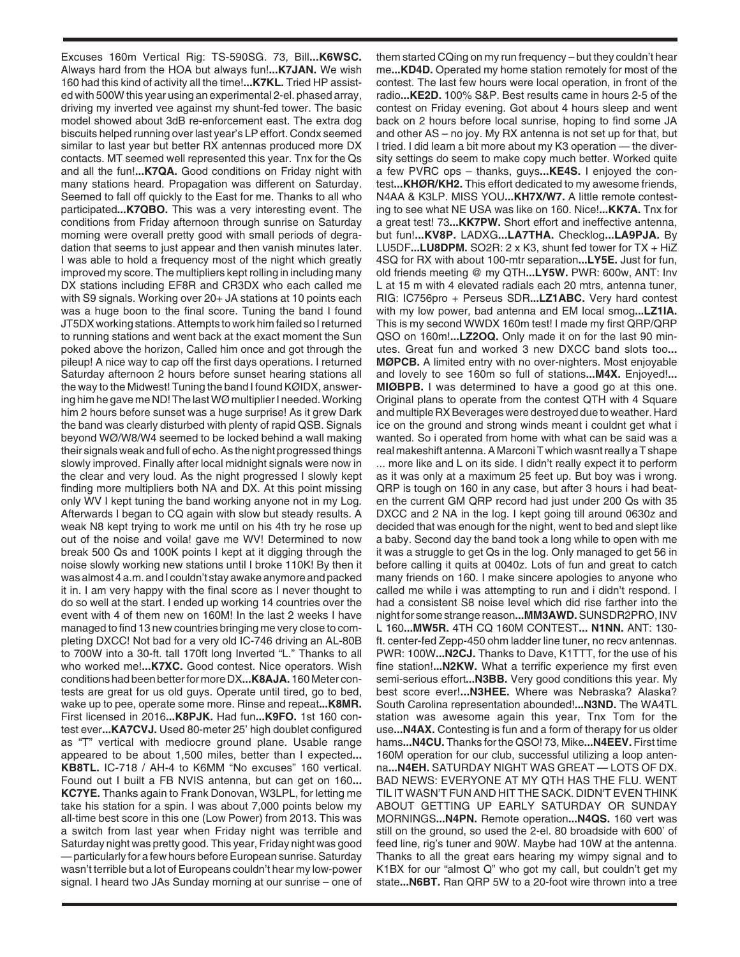Excuses 160m Vertical Rig: TS-590SG. 73, Bill**...K6WSC.** Always hard from the HOA but always fun!**...K7JAN.** We wish 160 had this kind of activity all the time!**...K7KL.** Tried HP assisted with 500W this year using an experimental 2-el. phased array, driving my inverted vee against my shunt-fed tower. The basic model showed about 3dB re-enforcement east. The extra dog biscuits helped running over last year's LP effort. Condx seemed similar to last year but better RX antennas produced more DX contacts. MT seemed well represented this year. Tnx for the Qs and all the fun!**...K7QA.** Good conditions on Friday night with many stations heard. Propagation was different on Saturday. Seemed to fall off quickly to the East for me. Thanks to all who participated**...K7QBO.** This was a very interesting event. The conditions from Friday afternoon through sunrise on Saturday morning were overall pretty good with small periods of degradation that seems to just appear and then vanish minutes later. I was able to hold a frequency most of the night which greatly improved my score. The multipliers kept rolling in including many DX stations including EF8R and CR3DX who each called me with S9 signals. Working over 20+ JA stations at 10 points each was a huge boon to the final score. Tuning the band I found JT5DX working stations. Attempts to work him failed so I returned to running stations and went back at the exact moment the Sun poked above the horizon, Called him once and got through the pileup! A nice way to cap off the first days operations. I returned Saturday afternoon 2 hours before sunset hearing stations all the way to the Midwest! Tuning the band I found KØIDX, answering him he gave me ND! The last WØ multiplier I needed. Working him 2 hours before sunset was a huge surprise! As it grew Dark the band was clearly disturbed with plenty of rapid QSB. Signals beyond WØ/W8/W4 seemed to be locked behind a wall making their signals weak and full of echo. As the night progressed things slowly improved. Finally after local midnight signals were now in the clear and very loud. As the night progressed I slowly kept finding more multipliers both NA and DX. At this point missing only WV I kept tuning the band working anyone not in my Log. Afterwards I began to CQ again with slow but steady results. A weak N8 kept trying to work me until on his 4th try he rose up out of the noise and voila! gave me WV! Determined to now break 500 Qs and 100K points I kept at it digging through the noise slowly working new stations until I broke 110K! By then it was almost 4 a.m. and I couldn't stay awake anymore and packed it in. I am very happy with the final score as I never thought to do so well at the start. I ended up working 14 countries over the event with 4 of them new on 160M! In the last 2 weeks I have managed to find 13 new countries bringing me very close to completing DXCC! Not bad for a very old IC-746 driving an AL-80B to 700W into a 30-ft. tall 170ft long Inverted "L." Thanks to all who worked me!**...K7XC.** Good contest. Nice operators. Wish conditions had been better for more DX**...K8AJA.** 160 Meter contests are great for us old guys. Operate until tired, go to bed, wake up to pee, operate some more. Rinse and repeat**...K8MR.** First licensed in 2016**...K8PJK.** Had fun**...K9FO.** 1st 160 contest ever**...KA7CVJ.** Used 80-meter 25' high doublet configured as "T" vertical with mediocre ground plane. Usable range appeared to be about 1,500 miles, better than I expected**... KB8TL.** IC-718 / AH-4 to K6MM "No excuses" 160 vertical. Found out I built a FB NVIS antenna, but can get on 160**... KC7YE.** Thanks again to Frank Donovan, W3LPL, for letting me take his station for a spin. I was about 7,000 points below my all-time best score in this one (Low Power) from 2013. This was a switch from last year when Friday night was terrible and Saturday night was pretty good. This year, Friday night was good — particularly for a few hours before European sunrise. Saturday wasn't terrible but a lot of Europeans couldn't hear my low-power signal. I heard two JAs Sunday morning at our sunrise – one of

them started CQing on my run frequency – but they couldn't hear me**...KD4D.** Operated my home station remotely for most of the contest. The last few hours were local operation, in front of the radio**...KE2D.** 100% S&P. Best results came in hours 2-5 of the contest on Friday evening. Got about 4 hours sleep and went back on 2 hours before local sunrise, hoping to find some JA and other AS – no joy. My RX antenna is not set up for that, but I tried. I did learn a bit more about my K3 operation — the diversity settings do seem to make copy much better. Worked quite a few PVRC ops – thanks, guys**...KE4S.** I enjoyed the contest**...KHØR/KH2.** This effort dedicated to my awesome friends, N4AA & K3LP. MISS YOU**...KH7X/W7.** A little remote contesting to see what NE USA was like on 160. Nice!**...KK7A.** Tnx for a great test! 73**...KK7PW.** Short effort and ineffective antenna, but fun!**...KV8P.** LADXG**...LA7THA.** Checklog**...LA9PJA.** By LU5DF**...LU8DPM.** SO2R: 2 x K3, shunt fed tower for TX + HiZ 4SQ for RX with about 100-mtr separation**...LY5E.** Just for fun, old friends meeting @ my QTH**...LY5W.** PWR: 600w, ANT: Inv L at 15 m with 4 elevated radials each 20 mtrs, antenna tuner, RIG: IC756pro + Perseus SDR**...LZ1ABC.** Very hard contest with my low power, bad antenna and EM local smog**...LZ1IA.** This is my second WWDX 160m test! I made my first QRP/QRP QSO on 160m!**...LZ2OQ.** Only made it on for the last 90 minutes. Great fun and worked 3 new DXCC band slots too**... MØPCB.** A limited entry with no over-nighters. Most enjoyable and lovely to see 160m so full of stations**...M4X.** Enjoyed!**... MIØBPB.** I was determined to have a good go at this one. Original plans to operate from the contest QTH with 4 Square and multiple RX Beverages were destroyed due to weather. Hard ice on the ground and strong winds meant i couldnt get what i wanted. So i operated from home with what can be said was a real makeshift antenna. A Marconi T which wasnt really a T shape ... more like and L on its side. I didn't really expect it to perform as it was only at a maximum 25 feet up. But boy was i wrong. QRP is tough on 160 in any case, but after 3 hours i had beaten the current GM QRP record had just under 200 Qs with 35 DXCC and 2 NA in the log. I kept going till around 0630z and decided that was enough for the night, went to bed and slept like a baby. Second day the band took a long while to open with me it was a struggle to get Qs in the log. Only managed to get 56 in before calling it quits at 0040z. Lots of fun and great to catch many friends on 160. I make sincere apologies to anyone who called me while i was attempting to run and i didn't respond. I had a consistent S8 noise level which did rise farther into the night for some strange reason**...MM3AWD.**SUNSDR2PRO, INV L 160**...MW5R.** 4TH CQ 160M CONTEST**... N1NN.** ANT: 130 ft. center-fed Zepp-450 ohm ladder line tuner, no recv antennas. PWR: 100W**...N2CJ.** Thanks to Dave, K1TTT, for the use of his fine station!**...N2KW.** What a terrific experience my first even semi-serious effort**...N3BB.** Very good conditions this year. My best score ever!**...N3HEE.** Where was Nebraska? Alaska? South Carolina representation abounded!**...N3ND.** The WA4TL station was awesome again this year, Tnx Tom for the use**...N4AX.** Contesting is fun and a form of therapy for us older hams**...N4CU.** Thanks for the QSO! 73, Mike**...N4EEV.** First time 160M operation for our club, successful utilizing a loop antenna**...N4EH.** SATURDAY NIGHT WAS GREAT — LOTS OF DX. BAD NEWS: EVERYONE AT MY QTH HAS THE FLU. WENT TIL IT WASN'T FUN AND HIT THE SACK. DIDN'T EVEN THINK ABOUT GETTING UP EARLY SATURDAY OR SUNDAY MORNINGS**...N4PN.** Remote operation**...N4QS.** 160 vert was still on the ground, so used the 2-el. 80 broadside with 600' of feed line, rig's tuner and 90W. Maybe had 10W at the antenna. Thanks to all the great ears hearing my wimpy signal and to K1BX for our "almost Q" who got my call, but couldn't get my state**...N6BT.** Ran QRP 5W to a 20-foot wire thrown into a tree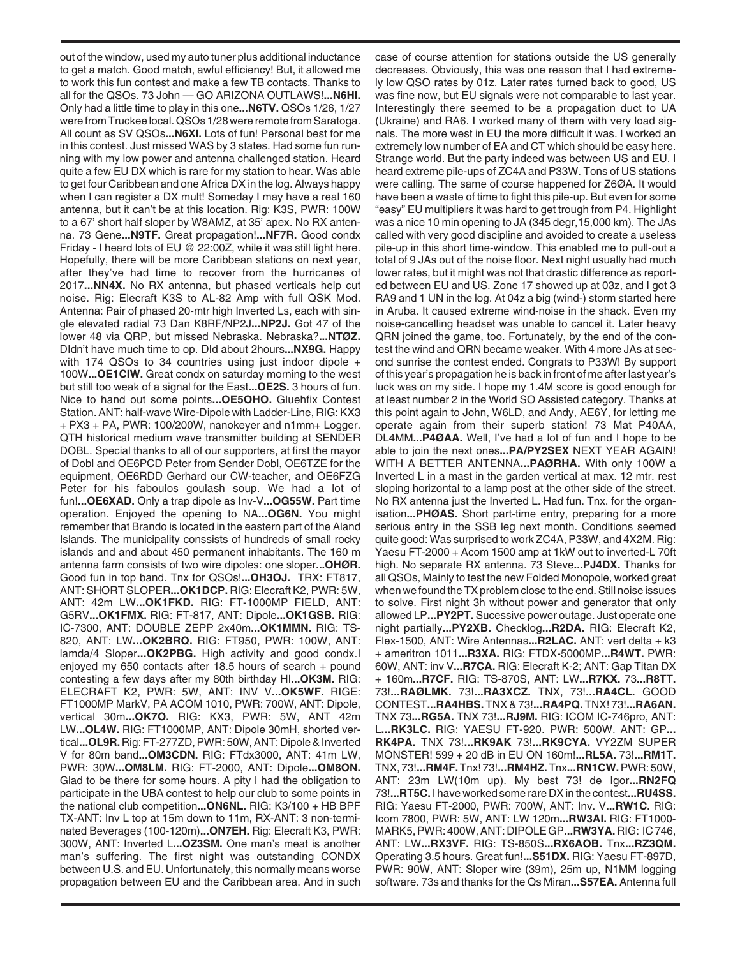out of the window, used my auto tuner plus additional inductance to get a match. Good match, awful efficiency! But, it allowed me to work this fun contest and make a few TB contacts. Thanks to all for the QSOs. 73 John — GO ARIZONA OUTLAWS!**...N6HI.** Only had a little time to play in this one**...N6TV.** QSOs 1/26, 1/27 were from Truckee local. QSOs 1/28 were remote from Saratoga. All count as SV QSOs**...N6XI.** Lots of fun! Personal best for me in this contest. Just missed WAS by 3 states. Had some fun running with my low power and antenna challenged station. Heard quite a few EU DX which is rare for my station to hear. Was able to get four Caribbean and one Africa DX in the log. Always happy when I can register a DX mult! Someday I may have a real 160 antenna, but it can't be at this location. Rig: K3S, PWR: 100W to a 67' short half sloper by W8AMZ, at 35' apex. No RX antenna. 73 Gene**...N9TF.** Great propagation!**...NF7R.** Good condx Friday - I heard lots of EU @ 22:00Z, while it was still light here. Hopefully, there will be more Caribbean stations on next year, after they've had time to recover from the hurricanes of 2017**...NN4X.** No RX antenna, but phased verticals help cut noise. Rig: Elecraft K3S to AL-82 Amp with full QSK Mod. Antenna: Pair of phased 20-mtr high Inverted Ls, each with single elevated radial 73 Dan K8RF/NP2J**...NP2J.** Got 47 of the lower 48 via QRP, but missed Nebraska. Nebraska?**...NTØZ.** DIdn't have much time to op. DId about 2hours**...NX9G.** Happy with 174 QSOs to 34 countries using just indoor dipole + 100W**...OE1CIW.** Great condx on saturday morning to the west but still too weak of a signal for the East**...OE2S.** 3 hours of fun. Nice to hand out some points**...OE5OHO.** Gluehfix Contest Station. ANT: half-wave Wire-Dipole with Ladder-Line, RIG: KX3 + PX3 + PA, PWR: 100/200W, nanokeyer and n1mm+ Logger. QTH historical medium wave transmitter building at SENDER DOBL. Special thanks to all of our supporters, at first the mayor of Dobl and OE6PCD Peter from Sender Dobl, OE6TZE for the equipment, OE6RDD Gerhard our CW-teacher, and OE6FZG Peter for his faboulos goulash soup. We had a lot of fun!**...OE6XAD.** Only a trap dipole as Inv-V**...OG55W.** Part time operation. Enjoyed the opening to NA**...OG6N.** You might remember that Brando is located in the eastern part of the Aland Islands. The municipality conssists of hundreds of small rocky islands and and about 450 permanent inhabitants. The 160 m antenna farm consists of two wire dipoles: one sloper**...OHØR.** Good fun in top band. Tnx for QSOs!**...OH3OJ.** TRX: FT817, ANT: SHORT SLOPER**...OK1DCP.** RIG: Elecraft K2, PWR: 5W, ANT: 42m LW**...OK1FKD.** RIG: FT-1000MP FIELD, ANT: G5RV**...OK1FMX.** RIG: FT-817, ANT: Dipole**...OK1GSB.** RIG: IC-7300, ANT: DOUBLE ZEPP 2x40m**...OK1MMN.** RIG: TS-820, ANT: LW**...OK2BRQ.** RIG: FT950, PWR: 100W, ANT: lamda/4 Sloper**...OK2PBG.** High activity and good condx.I enjoyed my 650 contacts after 18.5 hours of search + pound contesting a few days after my 80th birthday HI**...OK3M.** RIG: ELECRAFT K2, PWR: 5W, ANT: INV V**...OK5WF.** RIGE: FT1000MP MarkV, PA ACOM 1010, PWR: 700W, ANT: Dipole, vertical 30m**...OK7O.** RIG: KX3, PWR: 5W, ANT 42m LW**...OL4W.** RIG: FT1000MP, ANT: Dipole 30mH, shorted vertical**...OL9R.** Rig: FT-277ZD, PWR: 50W, ANT: Dipole & Inverted V for 80m band**...OM3CDN.** RIG: FTdx3000, ANT: 41m LW, PWR: 30W**...OM8LM.** RIG: FT-2000, ANT: Dipole**...OM8ON.** Glad to be there for some hours. A pity I had the obligation to participate in the UBA contest to help our club to some points in the national club competition**...ON6NL.** RIG: K3/100 + HB BPF TX-ANT: Inv L top at 15m down to 11m, RX-ANT: 3 non-terminated Beverages (100-120m)**...ON7EH.** Rig: Elecraft K3, PWR: 300W, ANT: Inverted L**...OZ3SM.** One man's meat is another man's suffering. The first night was outstanding CONDX between U.S. and EU. Unfortunately, this normally means worse propagation between EU and the Caribbean area. And in such

case of course attention for stations outside the US generally decreases. Obviously, this was one reason that I had extremely low QSO rates by 01z. Later rates turned back to good, US was fine now, but EU signals were not comparable to last year. Interestingly there seemed to be a propagation duct to UA (Ukraine) and RA6. I worked many of them with very load signals. The more west in EU the more difficult it was. I worked an extremely low number of EA and CT which should be easy here. Strange world. But the party indeed was between US and EU. I heard extreme pile-ups of ZC4A and P33W. Tons of US stations were calling. The same of course happened for Z6ØA. It would have been a waste of time to fight this pile-up. But even for some "easy" EU multipliers it was hard to get trough from P4. Highlight was a nice 10 min opening to JA (345 degr,15,000 km). The JAs called with very good discipline and avoided to create a useless pile-up in this short time-window. This enabled me to pull-out a total of 9 JAs out of the noise floor. Next night usually had much lower rates, but it might was not that drastic difference as reported between EU and US. Zone 17 showed up at 03z, and I got 3 RA9 and 1 UN in the log. At 04z a big (wind-) storm started here in Aruba. It caused extreme wind-noise in the shack. Even my noise-cancelling headset was unable to cancel it. Later heavy QRN joined the game, too. Fortunately, by the end of the contest the wind and QRN became weaker. With 4 more JAs at second sunrise the contest ended. Congrats to P33W! By support of this year's propagation he is back in front of me after last year's luck was on my side. I hope my 1.4M score is good enough for at least number 2 in the World SO Assisted category. Thanks at this point again to John, W6LD, and Andy, AE6Y, for letting me operate again from their superb station! 73 Mat P40AA, DL4MM**...P4ØAA.** Well, I've had a lot of fun and I hope to be able to join the next ones**...PA/PY2SEX** NEXT YEAR AGAIN! WITH A BETTER ANTENNA**...PAØRHA.** With only 100W a Inverted L in a mast in the garden vertical at max. 12 mtr. rest sloping horizontal to a lamp post at the other side of the street. No RX antenna just the Inverted L. Had fun. Tnx. for the organisation**...PHØAS.** Short part-time entry, preparing for a more serious entry in the SSB leg next month. Conditions seemed quite good: Was surprised to work ZC4A, P33W, and 4X2M. Rig: Yaesu FT-2000 + Acom 1500 amp at 1kW out to inverted-L 70ft high. No separate RX antenna. 73 Steve**...PJ4DX.** Thanks for all QSOs, Mainly to test the new Folded Monopole, worked great when we found the TX problem close to the end. Still noise issues to solve. First night 3h without power and generator that only allowed LP**...PY2PT.** Sucessive power outage. Just operate one night partially**...PY2XB.** Checklog**...R2DA.** RIG: Elecraft K2, Flex-1500, ANT: Wire Antennas**...R2LAC.** ANT: vert delta + k3 + ameritron 1011**...R3XA.** RIG: FTDX-5000MP**...R4WT.** PWR: 60W, ANT: inv V**...R7CA.** RIG: Elecraft K-2; ANT: Gap Titan DX + 160m**...R7CF.** RIG: TS-870S, ANT: LW**...R7KX.** 73**...R8TT.** 73!**...RAØLMK.** 73!**...RA3XCZ.** TNX, 73!**...RA4CL.** GOOD CONTEST**...RA4HBS.** TNX & 73!**...RA4PQ.** TNX! 73!**...RA6AN.** TNX 73**...RG5A.** TNX 73!**...RJ9M.** RIG: ICOM IC-746pro, ANT: L**...RK3LC.** RIG: YAESU FT-920. PWR: 500W. ANT: GP**... RK4PA.** TNX 73!**...RK9AK** 73!**...RK9CYA.** VY2ZM SUPER MONSTER! 599 + 20 dB in EU ON 160m!**...RL5A.** 73!**...RM1T.** TNX, 73!**...RM4F.**Tnx! 73!**...RM4HZ.**Tnx**...RN1CW.**PWR: 50W, ANT: 23m LW(10m up). My best 73! de Igor**...RN2FQ** 73!**...RT5C.** I have worked some rare DX in the contest**...RU4SS.** RIG: Yaesu FT-2000, PWR: 700W, ANT: Inv. V**...RW1C.** RIG: Icom 7800, PWR: 5W, ANT: LW 120m**...RW3AI.** RIG: FT1000- MARK5, PWR: 400W, ANT: DIPOLE GP**...RW3YA.** RIG: IC 746, ANT: LW**...RX3VF.** RIG: TS-850S**...RX6AOB.** Tnx**...RZ3QM.** Operating 3.5 hours. Great fun!**...S51DX.** RIG: Yaesu FT-897D, PWR: 90W, ANT: Sloper wire (39m), 25m up, N1MM logging software. 73s and thanks for the Qs Miran**...S57EA.** Antenna full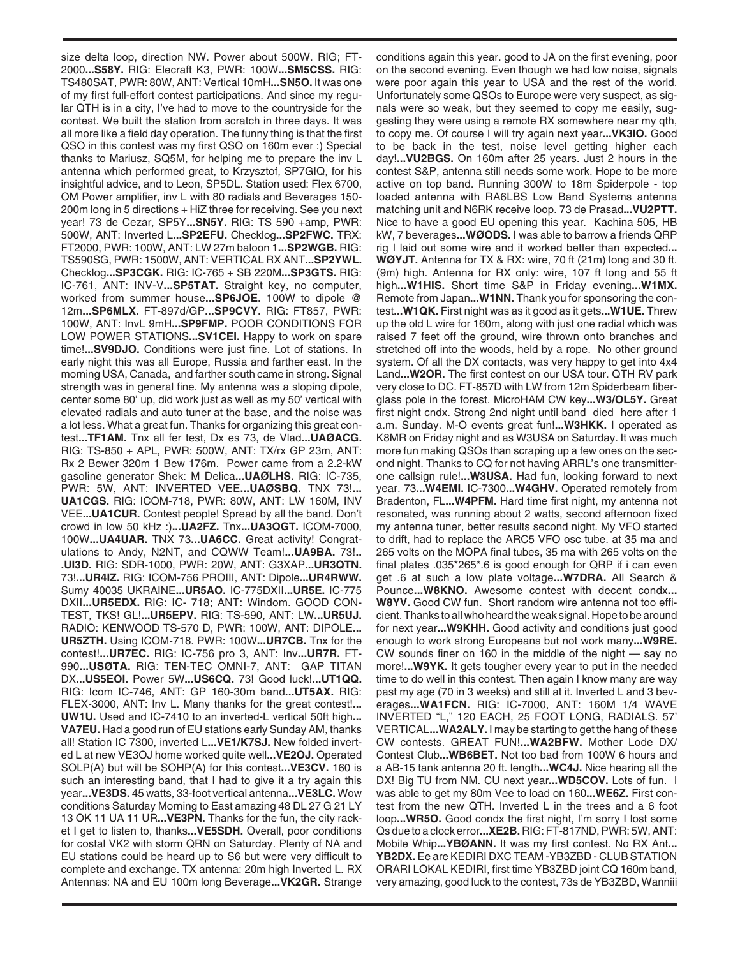size delta loop, direction NW. Power about 500W. RIG; FT-2000**...S58Y.** RIG: Elecraft K3, PWR: 100W**...SM5CSS.** RIG: TS480SAT, PWR: 80W, ANT: Vertical 10mH**...SN5O.** It was one of my first full-effort contest participations. And since my regular QTH is in a city, I've had to move to the countryside for the contest. We built the station from scratch in three days. It was all more like a field day operation. The funny thing is that the first QSO in this contest was my first QSO on 160m ever :) Special thanks to Mariusz, SQ5M, for helping me to prepare the inv L antenna which performed great, to Krzysztof, SP7GIQ, for his insightful advice, and to Leon, SP5DL. Station used: Flex 6700, OM Power amplifier, inv L with 80 radials and Beverages 150- 200m long in 5 directions + HiZ three for receiving. See you next year! 73 de Cezar, SP5Y**...SN5Y.** RIG: TS 590 +amp, PWR: 500W, ANT: Inverted L**...SP2EFU.** Checklog**...SP2FWC.** TRX: FT2000, PWR: 100W, ANT: LW 27m baloon 1**...SP2WGB.** RIG: TS590SG, PWR: 1500W, ANT: VERTICAL RX ANT**...SP2YWL.** Checklog**...SP3CGK.** RIG: IC-765 + SB 220M**...SP3GTS.** RIG: IC-761, ANT: INV-V**...SP5TAT.** Straight key, no computer, worked from summer house**...SP6JOE.** 100W to dipole @ 12m**...SP6MLX.** FT-897d/GP**...SP9CVY.** RIG: FT857, PWR: 100W, ANT: InvL 9mH**...SP9FMP.** POOR CONDITIONS FOR LOW POWER STATIONS**...SV1CEI.** Happy to work on spare time!**...SV9DJO.** Conditions were just fine. Lot of stations. In early night this was all Europe, Russia and farther east. In the morning USA, Canada, and farther south came in strong. Signal strength was in general fine. My antenna was a sloping dipole, center some 80' up, did work just as well as my 50' vertical with elevated radials and auto tuner at the base, and the noise was a lot less. What a great fun. Thanks for organizing this great contest**...TF1AM.** Tnx all fer test, Dx es 73, de Vlad**...UAØACG.** RIG: TS-850 + APL, PWR: 500W, ANT: TX/rx GP 23m, ANT: Rx 2 Bewer 320m 1 Bew 176m. Power came from a 2.2-kW gasoline generator Shek: M Delica**...UAØLHS.** RIG: IC-735, PWR: 5W, ANT: INVERTED VEE**...UAØSBQ.** TNX 73!**... UA1CGS.** RIG: ICOM-718, PWR: 80W, ANT: LW 160M, INV VEE**...UA1CUR.** Contest people! Spread by all the band. Don't crowd in low 50 kHz :)**...UA2FZ.** Tnx**...UA3QGT.** ICOM-7000, 100W**...UA4UAR.** TNX 73**...UA6CC.** Great activity! Congratulations to Andy, N2NT, and CQWW Team!**...UA9BA.** 73!**.. .UI3D.** RIG: SDR-1000, PWR: 20W, ANT: G3XAP**...UR3QTN.** 73!**...UR4IZ.** RIG: ICOM-756 PROIII, ANT: Dipole**...UR4RWW.** Sumy 40035 UKRAINE**...UR5AO.** IC-775DXII**...UR5E.** IC-775 DXII**...UR5EDX.** RIG: IC- 718; ANT: Windom. GOOD CON-TEST, TKS! GL!**...UR5EPV.** RIG: TS-590, ANT: LW**...UR5UJ.** RADIO: KENWOOD TS-570 D, PWR: 100W, ANT: DIPOLE**... UR5ZTH.** Using ICOM-718. PWR: 100W**...UR7CB.** Tnx for the contest!**...UR7EC.** RIG: IC-756 pro 3, ANT: Inv**...UR7R.** FT-990**...USØTA.** RIG: TEN-TEC OMNI-7, ANT: GAP TITAN DX**...US5EOI.** Power 5W**...US6CQ.** 73! Good luck!**...UT1QQ.** RIG: Icom IC-746, ANT: GP 160-30m band**...UT5AX.** RIG: FLEX-3000, ANT: Inv L. Many thanks for the great contest!**... UW1U.** Used and IC-7410 to an inverted-L vertical 50ft high**... VA7EU.** Had a good run of EU stations early Sunday AM, thanks all! Station IC 7300, inverted L**...VE1/K7SJ.** New folded inverted L at new VE3OJ home worked quite well**...VE2OJ.** Operated SOLP(A) but will be SOHP(A) for this contest**...VE3CV.** 160 is such an interesting band, that I had to give it a try again this year**...VE3DS.** 45 watts, 33-foot vertical antenna**...VE3LC.** Wow conditions Saturday Morning to East amazing 48 DL 27 G 21 LY 13 OK 11 UA 11 UR**...VE3PN.** Thanks for the fun, the city racket I get to listen to, thanks**...VE5SDH.** Overall, poor conditions for costal VK2 with storm QRN on Saturday. Plenty of NA and EU stations could be heard up to S6 but were very difficult to complete and exchange. TX antenna: 20m high Inverted L. RX Antennas: NA and EU 100m long Beverage**...VK2GR.** Strange

conditions again this year. good to JA on the first evening, poor on the second evening. Even though we had low noise, signals were poor again this year to USA and the rest of the world. Unfortunately some QSOs to Europe were very suspect, as signals were so weak, but they seemed to copy me easily, suggesting they were using a remote RX somewhere near my qth, to copy me. Of course I will try again next year**...VK3IO.** Good to be back in the test, noise level getting higher each day!**...VU2BGS.** On 160m after 25 years. Just 2 hours in the contest S&P, antenna still needs some work. Hope to be more active on top band. Running 300W to 18m Spiderpole - top loaded antenna with RA6LBS Low Band Systems antenna matching unit and N6RK receive loop. 73 de Prasad**...VU2PTT.** Nice to have a good EU opening this year. Kachina 505, HB kW, 7 beverages**...WØODS.** I was able to barrow a friends QRP rig I laid out some wire and it worked better than expected**... WØYJT.** Antenna for TX & RX: wire, 70 ft (21m) long and 30 ft. (9m) high. Antenna for RX only: wire, 107 ft long and 55 ft high**...W1HIS.** Short time S&P in Friday evening**...W1MX.** Remote from Japan**...W1NN.** Thank you for sponsoring the contest**...W1QK.** First night was as it good as it gets**...W1UE.** Threw up the old L wire for 160m, along with just one radial which was raised 7 feet off the ground, wire thrown onto branches and stretched off into the woods, held by a rope. No other ground system. Of all the DX contacts, was very happy to get into 4x4 Land**...W2OR.** The first contest on our USA tour. QTH RV park very close to DC. FT-857D with LW from 12m Spiderbeam fiberglass pole in the forest. MicroHAM CW key**...W3/OL5Y.** Great first night cndx. Strong 2nd night until band died here after 1 a.m. Sunday. M-O events great fun!**...W3HKK.** I operated as K8MR on Friday night and as W3USA on Saturday. It was much more fun making QSOs than scraping up a few ones on the second night. Thanks to CQ for not having ARRL's one transmitterone callsign rule!**...W3USA.** Had fun, looking forward to next year. 73**...W4EMI.** IC-7300**...W4GHV.** Operated remotely from Bradenton, FL**...W4PFM.** Hard time first night, my antenna not resonated, was running about 2 watts, second afternoon fixed my antenna tuner, better results second night. My VFO started to drift, had to replace the ARC5 VFO osc tube. at 35 ma and 265 volts on the MOPA final tubes, 35 ma with 265 volts on the final plates .035\*265\*.6 is good enough for QRP if i can even get .6 at such a low plate voltage**...W7DRA.** All Search & Pounce**...W8KNO.** Awesome contest with decent condx**... W8YV.** Good CW fun. Short random wire antenna not too efficient. Thanks to all who heard the weak signal. Hope to be around for next year**...W9KHH.** Good activity and conditions just good enough to work strong Europeans but not work many**...W9RE.** CW sounds finer on 160 in the middle of the night — say no more!**...W9YK.** It gets tougher every year to put in the needed time to do well in this contest. Then again I know many are way past my age (70 in 3 weeks) and still at it. Inverted L and 3 beverages**...WA1FCN.** RIG: IC-7000, ANT: 160M 1/4 WAVE INVERTED "L," 120 EACH, 25 FOOT LONG, RADIALS. 57' VERTICAL**...WA2ALY.** I may be starting to get the hang of these CW contests. GREAT FUN!**...WA2BFW.** Mother Lode DX/ Contest Club**...WB6BET.** Not too bad from 100W 6 hours and a AB-15 tank antenna 20 ft. length**...WC4J.** Nice hearing all the DX! Big TU from NM. CU next year**...WD5COV.** Lots of fun. I was able to get my 80m Vee to load on 160**...WE6Z.** First contest from the new QTH. Inverted L in the trees and a 6 foot loop**...WR5O.** Good condx the first night, I'm sorry I lost some Qs due to a clock error**...XE2B.** RIG: FT-817ND, PWR: 5W, ANT: Mobile Whip**...YBØANN.** It was my first contest. No RX Ant**... YB2DX.** Ee are KEDIRI DXC TEAM -YB3ZBD - CLUB STATION ORARI LOKAL KEDIRI, first time YB3ZBD joint CQ 160m band, very amazing, good luck to the contest, 73s de YB3ZBD, Wanniii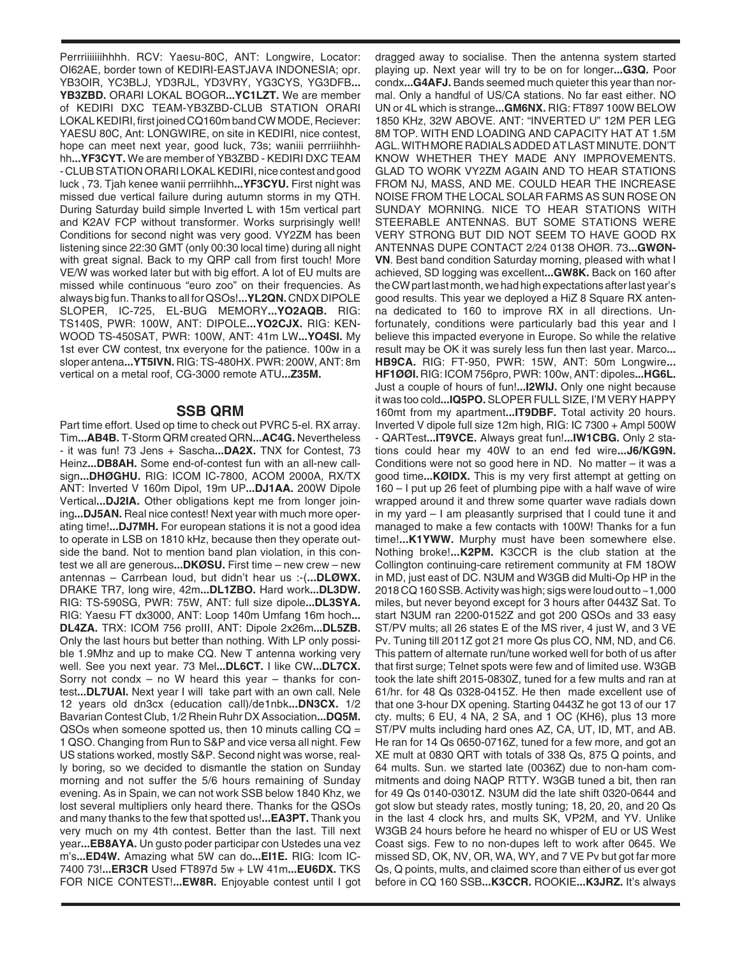Perrriiiiiiihhhh. RCV: Yaesu-80C, ANT: Longwire, Locator: OI62AE, border town of KEDIRI-EASTJAVA INDONESIA; opr. YB3OIR, YC3BLJ, YD3RJL, YD3VRY, YG3CYS, YG3DFB**... YB3ZBD.** ORARI LOKAL BOGOR**...YC1LZT.** We are member of KEDIRI DXC TEAM-YB3ZBD-CLUB STATION ORARI LOKAL KEDIRI, first joined CQ160m band CW MODE, Reciever: YAESU 80C, Ant: LONGWIRE, on site in KEDIRI, nice contest, hope can meet next year, good luck, 73s; waniii perrriiihhhhh**...YF3CYT.** We are member of YB3ZBD - KEDIRI DXC TEAM - CLUB STATION ORARI LOKAL KEDIRI, nice contest and good luck , 73. Tjah kenee wanii perrriihhh**...YF3CYU.** First night was missed due vertical failure during autumn storms in my QTH. During Saturday build simple Inverted L with 15m vertical part and K2AV FCP without transformer. Works surprisingly well! Conditions for second night was very good. VY2ZM has been listening since 22:30 GMT (only 00:30 local time) during all night with great signal. Back to my QRP call from first touch! More VE/W was worked later but with big effort. A lot of EU mults are missed while continuous "euro zoo" on their frequencies. As always big fun. Thanks to all for QSOs!**...YL2QN.** CNDX DIPOLE SLOPER, IC-725, EL-BUG MEMORY**...YO2AQB.** RIG: TS140S, PWR: 100W, ANT: DIPOLE**...YO2CJX.** RIG: KEN-WOOD TS-450SAT, PWR: 100W, ANT: 41m LW**...YO4SI.** My 1st ever CW contest, tnx everyone for the patience. 100w in a sloper antena**...YT5IVN.** RIG: TS-480HX. PWR: 200W, ANT: 8m vertical on a metal roof, CG-3000 remote ATU**...Z35M.**

## **SSB QRM**

Part time effort. Used op time to check out PVRC 5-el. RX array. Tim**...AB4B.** T-Storm QRM created QRN**...AC4G.** Nevertheless - it was fun! 73 Jens + Sascha**...DA2X.** TNX for Contest, 73 Heinz**...DB8AH.** Some end-of-contest fun with an all-new callsign**...DHØGHU.** RIG: ICOM IC-7800, ACOM 2000A, RX/TX ANT: Inverted V 160m Dipol, 19m UP**...DJ1AA.** 200W Dipole Vertical**...DJ2IA.** Other obligations kept me from longer joining**...DJ5AN.** Real nice contest! Next year with much more operating time!**...DJ7MH.** For european stations it is not a good idea to operate in LSB on 1810 kHz, because then they operate outside the band. Not to mention band plan violation, in this contest we all are generous**...DKØSU.** First time – new crew – new antennas – Carrbean loud, but didn't hear us :-(**...DLØWX.** DRAKE TR7, long wire, 42m**...DL1ZBO.** Hard work**...DL3DW.** RIG: TS-590SG, PWR: 75W, ANT: full size dipole**...DL3SYA.** RIG: Yaesu FT dx3000, ANT: Loop 140m Umfang 16m hoch**... DL4ZA.** TRX: ICOM 756 proIII, ANT: Dipole 2x26m**...DL5ZB.** Only the last hours but better than nothing. With LP only possible 1.9Mhz and up to make CQ. New T antenna working very well. See you next year. 73 Mel**...DL6CT.** I like CW**...DL7CX.** Sorry not condx – no W heard this year – thanks for contest**...DL7UAI.** Next year I will take part with an own call. Nele 12 years old dn3cx (education call)/de1nbk**...DN3CX.** 1/2 Bavarian Contest Club, 1/2 Rhein Ruhr DX Association**...DQ5M.**  $QSOs$  when someone spotted us, then 10 minuts calling  $CQ =$ 1 QSO. Changing from Run to S&P and vice versa all night. Few US stations worked, mostly S&P. Second night was worse, really boring, so we decided to dismantle the station on Sunday morning and not suffer the 5/6 hours remaining of Sunday evening. As in Spain, we can not work SSB below 1840 Khz, we lost several multipliers only heard there. Thanks for the QSOs and many thanks to the few that spotted us!**...EA3PT.** Thank you very much on my 4th contest. Better than the last. Till next year**...EB8AYA.** Un gusto poder participar con Ustedes una vez m's**...ED4W.** Amazing what 5W can do**...EI1E.** RIG: Icom IC-7400 73!**...ER3CR** Used FT897d 5w + LW 41m**...EU6DX.** TKS FOR NICE CONTEST!**...EW8R.** Enjoyable contest until I got dragged away to socialise. Then the antenna system started playing up. Next year will try to be on for longer**...G3Q.** Poor condx**...G4AFJ.** Bands seemed much quieter this year than normal. Only a handful of US/CA stations. No far east either. NO UN or 4L which is strange**...GM6NX.** RIG: FT897 100W BELOW 1850 KHz, 32W ABOVE. ANT: "INVERTED U" 12M PER LEG 8M TOP. WITH END LOADING AND CAPACITY HAT AT 1.5M AGL. WITH MORE RADIALS ADDED AT LAST MINUTE. DON'T KNOW WHETHER THEY MADE ANY IMPROVEMENTS. GLAD TO WORK VY2ZM AGAIN AND TO HEAR STATIONS FROM NJ, MASS, AND ME. COULD HEAR THE INCREASE NOISE FROM THE LOCAL SOLAR FARMS AS SUN ROSE ON SUNDAY MORNING. NICE TO HEAR STATIONS WITH STEERABLE ANTENNAS. BUT SOME STATIONS WERE VERY STRONG BUT DID NOT SEEM TO HAVE GOOD RX ANTENNAS DUPE CONTACT 2/24 0138 OHØR. 73**...GWØN-VN**. Best band condition Saturday morning, pleased with what I achieved, SD logging was excellent**...GW8K.** Back on 160 after the CW part last month, we had high expectations after last year's good results. This year we deployed a HiZ 8 Square RX antenna dedicated to 160 to improve RX in all directions. Unfortunately, conditions were particularly bad this year and I believe this impacted everyone in Europe. So while the relative result may be OK it was surely less fun then last year. Marco**... HB9CA.** RIG: FT-950, PWR: 15W, ANT: 50m Longwire**... HF1ØØI.** RIG: ICOM 756pro, PWR: 100w, ANT: dipoles**...HG6L.** Just a couple of hours of fun!**...I2WIJ.** Only one night because it was too cold**...IQ5PO.** SLOPER FULL SIZE, I'M VERY HAPPY 160mt from my apartment**...IT9DBF.** Total activity 20 hours. Inverted V dipole full size 12m high, RIG: IC 7300 + Ampl 500W - QARTest**...IT9VCE.** Always great fun!**...IW1CBG.** Only 2 stations could hear my 40W to an end fed wire**...J6/KG9N.** Conditions were not so good here in ND. No matter – it was a good time**...KØIDX.** This is my very first attempt at getting on 160 – I put up 26 feet of plumbing pipe with a half wave of wire wrapped around it and threw some quarter wave radials down in my yard – I am pleasantly surprised that I could tune it and managed to make a few contacts with 100W! Thanks for a fun time!**...K1YWW.** Murphy must have been somewhere else. Nothing broke!**...K2PM.** K3CCR is the club station at the Collington continuing-care retirement community at FM 18OW in MD, just east of DC. N3UM and W3GB did Multi-Op HP in the 2018 CQ 160 SSB. Activity was high; sigs were loud out to ~1,000 miles, but never beyond except for 3 hours after 0443Z Sat. To start N3UM ran 2200-0152Z and got 200 QSOs and 33 easy ST/PV mults; all 26 states E of the MS river, 4 just W, and 3 VE Pv. Tuning till 2011Z got 21 more Qs plus CO, NM, ND, and C6. This pattern of alternate run/tune worked well for both of us after that first surge; Telnet spots were few and of limited use. W3GB took the late shift 2015-0830Z, tuned for a few mults and ran at 61/hr. for 48 Qs 0328-0415Z. He then made excellent use of that one 3-hour DX opening. Starting 0443Z he got 13 of our 17 cty. mults; 6 EU, 4 NA, 2 SA, and 1 OC (KH6), plus 13 more ST/PV mults including hard ones AZ, CA, UT, ID, MT, and AB. He ran for 14 Qs 0650-0716Z, tuned for a few more, and got an XE mult at 0830 QRT with totals of 338 Qs, 875 Q points, and 64 mults. Sun. we started late (0036Z) due to non-ham commitments and doing NAQP RTTY. W3GB tuned a bit, then ran for 49 Qs 0140-0301Z. N3UM did the late shift 0320-0644 and got slow but steady rates, mostly tuning; 18, 20, 20, and 20 Qs in the last 4 clock hrs, and mults SK, VP2M, and YV. Unlike W3GB 24 hours before he heard no whisper of EU or US West Coast sigs. Few to no non-dupes left to work after 0645. We missed SD, OK, NV, OR, WA, WY, and 7 VE Pv but got far more Qs, Q points, mults, and claimed score than either of us ever got before in CQ 160 SSB**...K3CCR.** ROOKIE**...K3JRZ.** It's always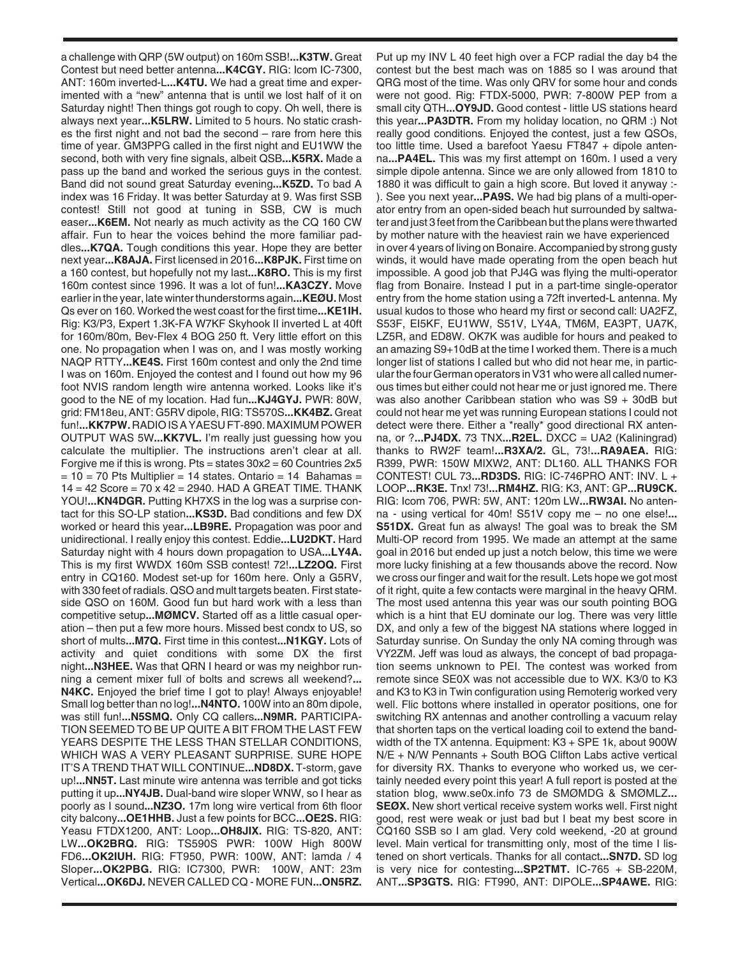a challenge with QRP (5W output) on 160m SSB!**...K3TW.** Great Contest but need better antenna**...K4CGY.** RIG: Icom IC-7300, ANT: 160m inverted-L**...K4TU.** We had a great time and experimented with a "new" antenna that is until we lost half of it on Saturday night! Then things got rough to copy. Oh well, there is always next year**...K5LRW.** Limited to 5 hours. No static crashes the first night and not bad the second – rare from here this time of year. GM3PPG called in the first night and EU1WW the second, both with very fine signals, albeit QSB**...K5RX.** Made a pass up the band and worked the serious guys in the contest. Band did not sound great Saturday evening**...K5ZD.** To bad A index was 16 Friday. It was better Saturday at 9. Was first SSB contest! Still not good at tuning in SSB, CW is much easer**...K6EM.** Not nearly as much activity as the CQ 160 CW affair. Fun to hear the voices behind the more familiar paddles**...K7QA.** Tough conditions this year. Hope they are better next year**...K8AJA.** First licensed in 2016**...K8PJK.** First time on a 160 contest, but hopefully not my last**...K8RO.** This is my first 160m contest since 1996. It was a lot of fun!**...KA3CZY.** Move earlier in the year, late winter thunderstorms again**...KEØU.** Most Qs ever on 160. Worked the west coast for the first time**...KE1IH.** Rig: K3/P3, Expert 1.3K-FA W7KF Skyhook II inverted L at 40ft for 160m/80m, Bev-Flex 4 BOG 250 ft. Very little effort on this one. No propagation when I was on, and I was mostly working NAQP RTTY**...KE4S.** First 160m contest and only the 2nd time I was on 160m. Enjoyed the contest and I found out how my 96 foot NVIS random length wire antenna worked. Looks like it's good to the NE of my location. Had fun**...KJ4GYJ.** PWR: 80W, grid: FM18eu, ANT: G5RV dipole, RIG: TS570S**...KK4BZ.** Great fun!**...KK7PW.**RADIO IS A YAESU FT-890. MAXIMUM POWER OUTPUT WAS 5W**...KK7VL.** I'm really just guessing how you calculate the multiplier. The instructions aren't clear at all. Forgive me if this is wrong. Pts = states  $30x^2 = 60$  Countries  $2x^5$  $= 10 = 70$  Pts Multiplier = 14 states. Ontario = 14 Bahamas = 14 = 42 Score = 70 x 42 = 2940. HAD A GREAT TIME. THANK YOU!**...KN4DGR.** Putting KH7XS in the log was a surprise contact for this SO-LP station**...KS3D.** Bad conditions and few DX worked or heard this year**...LB9RE.** Propagation was poor and unidirectional. I really enjoy this contest. Eddie**...LU2DKT.** Hard Saturday night with 4 hours down propagation to USA**...LY4A.** This is my first WWDX 160m SSB contest! 72!**...LZ2OQ.** First entry in CQ160. Modest set-up for 160m here. Only a G5RV, with 330 feet of radials. QSO and mult targets beaten. First stateside QSO on 160M. Good fun but hard work with a less than competitive setup**...MØMCV.** Started off as a little casual operation – then put a few more hours. Missed best condx to US, so short of mults**...M7Q.** First time in this contest**...N1KGY.** Lots of activity and quiet conditions with some DX the first night**...N3HEE.** Was that QRN I heard or was my neighbor running a cement mixer full of bolts and screws all weekend?**... N4KC.** Enjoyed the brief time I got to play! Always enjoyable! Small log better than no log!**...N4NTO.** 100W into an 80m dipole, was still fun!**...N5SMQ.** Only CQ callers**...N9MR.** PARTICIPA-TION SEEMED TO BE UP QUITE A BIT FROM THE LAST FEW YEARS DESPITE THE LESS THAN STELLAR CONDITIONS, WHICH WAS A VERY PLEASANT SURPRISE. SURE HOPE IT'S A TREND THAT WILL CONTINUE**...ND8DX.** T-storm, gave up!**...NN5T.** Last minute wire antenna was terrible and got ticks putting it up**...NY4JB.** Dual-band wire sloper WNW, so I hear as poorly as I sound**...NZ3O.** 17m long wire vertical from 6th floor city balcony**...OE1HHB.** Just a few points for BCC**...OE2S.** RIG: Yeasu FTDX1200, ANT: Loop**...OH8JIX.** RIG: TS-820, ANT: LW**...OK2BRQ.** RIG: TS590S PWR: 100W High 800W FD6**...OK2IUH.** RIG: FT950, PWR: 100W, ANT: lamda / 4 Sloper**...OK2PBG.** RIG: IC7300, PWR: 100W, ANT: 23m Vertical**...OK6DJ.** NEVER CALLED CQ - MORE FUN**...ON5RZ.**

Put up my INV L 40 feet high over a FCP radial the day b4 the contest but the best mach was on 1885 so I was around that QRG most of the time. Was only QRV for some hour and conds were not good. Rig: FTDX-5000, PWR: 7-800W PEP from a small city QTH**...OY9JD.** Good contest - little US stations heard this year**...PA3DTR.** From my holiday location, no QRM :) Not really good conditions. Enjoyed the contest, just a few QSOs, too little time. Used a barefoot Yaesu FT847 + dipole antenna**...PA4EL.** This was my first attempt on 160m. I used a very simple dipole antenna. Since we are only allowed from 1810 to 1880 it was difficult to gain a high score. But loved it anyway :- ). See you next year**...PA9S.** We had big plans of a multi-operator entry from an open-sided beach hut surrounded by saltwater and just 3 feet from the Caribbean but the plans were thwarted by mother nature with the heaviest rain we have experienced in over 4 years of living on Bonaire. Accompanied by strong gusty winds, it would have made operating from the open beach hut impossible. A good job that PJ4G was flying the multi-operator flag from Bonaire. Instead I put in a part-time single-operator entry from the home station using a 72ft inverted-L antenna. My usual kudos to those who heard my first or second call: UA2FZ, S53F, EI5KF, EU1WW, S51V, LY4A, TM6M, EA3PT, UA7K, LZ5R, and ED8W. OK7K was audible for hours and peaked to an amazing S9+10dB at the time I worked them. There is a much longer list of stations I called but who did not hear me, in particular the four German operators in V31 who were all called numerous times but either could not hear me or just ignored me. There was also another Caribbean station who was S9 + 30dB but could not hear me yet was running European stations I could not detect were there. Either a \*really\* good directional RX antenna, or ?**...PJ4DX.** 73 TNX**...R2EL.** DXCC = UA2 (Kaliningrad) thanks to RW2F team!**...R3XA/2.** GL, 73!**...RA9AEA.** RIG: R399, PWR: 150W MIXW2, ANT: DL160. ALL THANKS FOR CONTEST! CUL 73**...RD3DS.** RIG: IC-746PRO ANT: INV. L + LOOP**...RK3E.** Tnx! 73!**...RM4HZ.** RIG: K3, ANT: GP**...RU9CK.** RIG: Icom 706, PWR: 5W, ANT: 120m LW**...RW3AI.** No antenna - using vertical for 40m! S51V copy me – no one else!**... S51DX.** Great fun as always! The goal was to break the SM Multi-OP record from 1995. We made an attempt at the same goal in 2016 but ended up just a notch below, this time we were more lucky finishing at a few thousands above the record. Now we cross our finger and wait for the result. Lets hope we got most of it right, quite a few contacts were marginal in the heavy QRM. The most used antenna this year was our south pointing BOG which is a hint that EU dominate our log. There was very little DX, and only a few of the biggest NA stations where logged in Saturday sunrise. On Sunday the only NA coming through was VY2ZM. Jeff was loud as always, the concept of bad propagation seems unknown to PEI. The contest was worked from remote since SE0X was not accessible due to WX. K3/0 to K3 and K3 to K3 in Twin configuration using Remoterig worked very well. Flic bottons where installed in operator positions, one for switching RX antennas and another controlling a vacuum relay that shorten taps on the vertical loading coil to extend the bandwidth of the TX antenna. Equipment: K3 + SPE 1k, about 900W N/E + N/W Pennants + South BOG Clifton Labs active vertical for diversity RX. Thanks to everyone who worked us, we certainly needed every point this year! A full report is posted at the station blog, www.se0x.info 73 de SMØMDG & SMØMLZ**... SEØX.** New short vertical receive system works well. First night good, rest were weak or just bad but I beat my best score in CQ160 SSB so I am glad. Very cold weekend, -20 at ground level. Main vertical for transmitting only, most of the time I listened on short verticals. Thanks for all contact**...SN7D.** SD log is very nice for contesting**...SP2TMT.** IC-765 + SB-220M, ANT**...SP3GTS.** RIG: FT990, ANT: DIPOLE**...SP4AWE.** RIG: